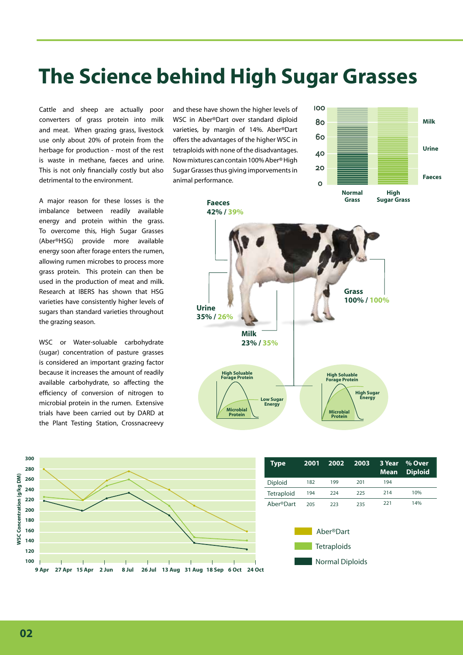# **The Science behind High Sugar Grasses**

Cattle and sheep are actually poor converters of grass protein into milk and meat. When grazing grass, livestock use only about 20% of protein from the herbage for production - most of the rest is waste in methane, faeces and urine. This is not only financially costly but also detrimental to the environment.

A major reason for these losses is the imbalance between readily available energy and protein within the grass. To overcome this, High Sugar Grasses (Aber®HSG) provide more available energy soon after forage enters the rumen, allowing rumen microbes to process more grass protein. This protein can then be used in the production of meat and milk. Research at IBERS has shown that HSG varieties have consistently higher levels of sugars than standard varieties throughout the grazing season.

WSC or Water-soluable carbohydrate (sugar) concentration of pasture grasses is considered an important grazing factor because it increases the amount of readily available carbohydrate, so affecting the efficiency of conversion of nitrogen to microbial protein in the rumen. Extensive trials have been carried out by DARD at the Plant Testing Station, Crossnacreevy

and these have shown the higher levels of WSC in Aber®Dart over standard diploid varieties, by margin of 14%. Aber®Dart offers the advantages of the higher WSC in tetraploids with none of the disadvantages. Now mixtures can contain 100% Aber® High Sugar Grasses thus giving imporvements in animal performance.







**02**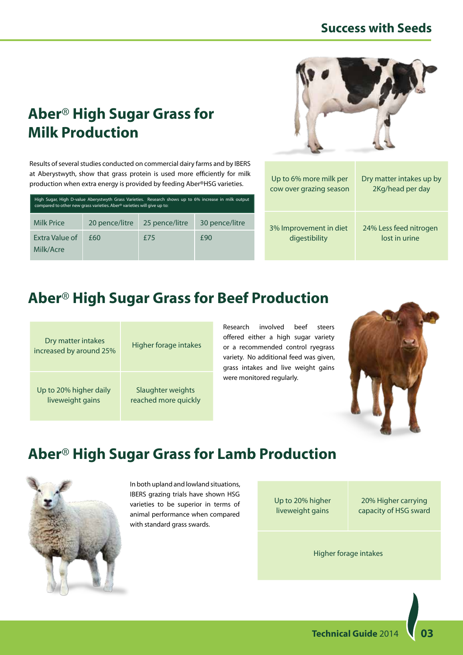### **Aber**® **High Sugar Grass for Milk Production**

Results of several studies conducted on commercial dairy farms and by IBERS at Aberystwyth, show that grass protein is used more efficiently for milk production when extra energy is provided by feeding Aber®HSG varieties.

| High Sugar, High D-value Aberystwyth Grass Varieties. Research shows up to 6% increase in milk output<br>compared to other new grass varieties. Aber <sup>®</sup> varieties will give up to: |                |                |                |  |  |
|----------------------------------------------------------------------------------------------------------------------------------------------------------------------------------------------|----------------|----------------|----------------|--|--|
| <b>Milk Price</b>                                                                                                                                                                            | 20 pence/litre | 25 pence/litre | 30 pence/litre |  |  |
| Extra Value of<br>Milk/Acre                                                                                                                                                                  | £60            | f75            | £90            |  |  |



| Up to 6% more milk per  | Dry matter intakes up by |
|-------------------------|--------------------------|
| cow over grazing season | 2Kg/head per day         |
| 3% Improvement in diet  | 24% Less feed nitrogen   |
| digestibility           | lost in urine            |

## **Aber**® **High Sugar Grass for Beef Production**

| Dry matter intakes<br>increased by around 25% | Higher forage intakes |  |
|-----------------------------------------------|-----------------------|--|
| Up to 20% higher daily                        | Slaughter weights     |  |
| liveweight gains                              | reached more quickly  |  |

Research involved beef steers offered either a high sugar variety or a recommended control ryegrass variety. No additional feed was given, grass intakes and live weight gains were monitored regularly.



## **Aber**® **High Sugar Grass for Lamb Production**



In both upland and lowland situations, IBERS grazing trials have shown HSG varieties to be superior in terms of animal performance when compared with standard grass swards.

Up to 20% higher liveweight gains

20% Higher carrying capacity of HSG sward

Higher forage intakes